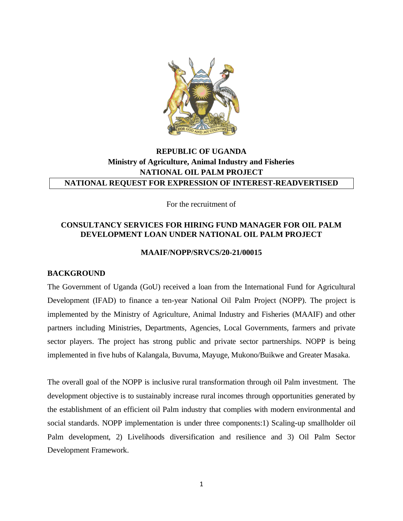

# **REPUBLIC OF UGANDA Ministry of Agriculture, Animal Industry and Fisheries NATIONAL OIL PALM PROJECT NATIONAL REQUEST FOR EXPRESSION OF INTEREST-READVERTISED**

For the recruitment of

### **CONSULTANCY SERVICES FOR HIRING FUND MANAGER FOR OIL PALM DEVELOPMENT LOAN UNDER NATIONAL OIL PALM PROJECT**

#### **MAAIF/NOPP/SRVCS/20-21/00015**

#### **BACKGROUND**

The Government of Uganda (GoU) received a loan from the International Fund for Agricultural Development (IFAD) to finance a ten-year National Oil Palm Project (NOPP). The project is implemented by the Ministry of Agriculture, Animal Industry and Fisheries (MAAIF) and other partners including Ministries, Departments, Agencies, Local Governments, farmers and private sector players. The project has strong public and private sector partnerships. NOPP is being implemented in five hubs of Kalangala, Buvuma, Mayuge, Mukono/Buikwe and Greater Masaka.

The overall goal of the NOPP is inclusive rural transformation through oil Palm investment. The development objective is to sustainably increase rural incomes through opportunities generated by the establishment of an efficient oil Palm industry that complies with modern environmental and social standards. NOPP implementation is under three components:1) Scaling-up smallholder oil Palm development, 2) Livelihoods diversification and resilience and 3) Oil Palm Sector Development Framework.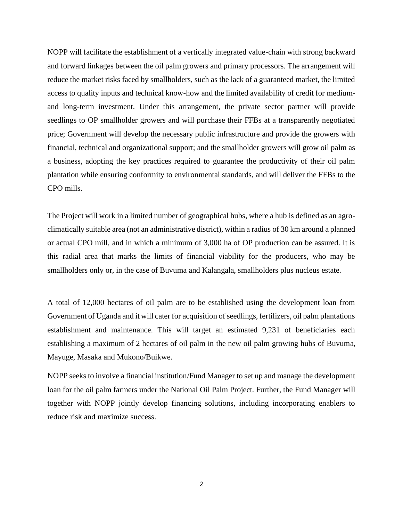NOPP will facilitate the establishment of a vertically integrated value-chain with strong backward and forward linkages between the oil palm growers and primary processors. The arrangement will reduce the market risks faced by smallholders, such as the lack of a guaranteed market, the limited access to quality inputs and technical know-how and the limited availability of credit for mediumand long-term investment. Under this arrangement, the private sector partner will provide seedlings to OP smallholder growers and will purchase their FFBs at a transparently negotiated price; Government will develop the necessary public infrastructure and provide the growers with financial, technical and organizational support; and the smallholder growers will grow oil palm as a business, adopting the key practices required to guarantee the productivity of their oil palm plantation while ensuring conformity to environmental standards, and will deliver the FFBs to the CPO mills.

The Project will work in a limited number of geographical hubs, where a hub is defined as an agroclimatically suitable area (not an administrative district), within a radius of 30 km around a planned or actual CPO mill, and in which a minimum of 3,000 ha of OP production can be assured. It is this radial area that marks the limits of financial viability for the producers, who may be smallholders only or, in the case of Buvuma and Kalangala, smallholders plus nucleus estate.

A total of 12,000 hectares of oil palm are to be established using the development loan from Government of Uganda and it will cater for acquisition of seedlings, fertilizers, oil palm plantations establishment and maintenance. This will target an estimated 9,231 of beneficiaries each establishing a maximum of 2 hectares of oil palm in the new oil palm growing hubs of Buvuma, Mayuge, Masaka and Mukono/Buikwe.

NOPP seeks to involve a financial institution/Fund Manager to set up and manage the development loan for the oil palm farmers under the National Oil Palm Project. Further, the Fund Manager will together with NOPP jointly develop financing solutions, including incorporating enablers to reduce risk and maximize success.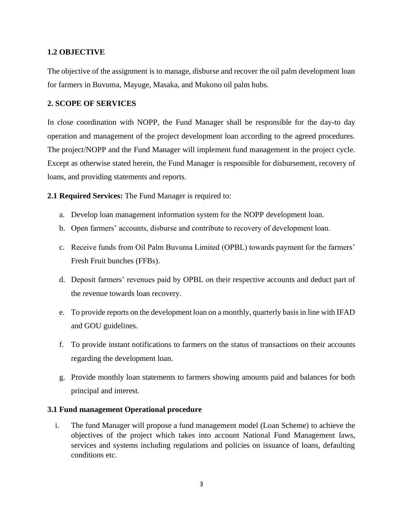### **1.2 OBJECTIVE**

The objective of the assignment is to manage, disburse and recover the oil palm development loan for farmers in Buvuma, Mayuge, Masaka, and Mukono oil palm hubs.

### **2. SCOPE OF SERVICES**

In close coordination with NOPP, the Fund Manager shall be responsible for the day-to day operation and management of the project development loan according to the agreed procedures. The project/NOPP and the Fund Manager will implement fund management in the project cycle. Except as otherwise stated herein, the Fund Manager is responsible for disbursement, recovery of loans, and providing statements and reports.

**2.1 Required Services:** The Fund Manager is required to:

- a. Develop loan management information system for the NOPP development loan.
- b. Open farmers' accounts, disburse and contribute to recovery of development loan.
- c. Receive funds from Oil Palm Buvuma Limited (OPBL) towards payment for the farmers' Fresh Fruit bunches (FFBs).
- d. Deposit farmers' revenues paid by OPBL on their respective accounts and deduct part of the revenue towards loan recovery.
- e. To provide reports on the development loan on a monthly, quarterly basis in line with IFAD and GOU guidelines.
- f. To provide instant notifications to farmers on the status of transactions on their accounts regarding the development loan.
- g. Provide monthly loan statements to farmers showing amounts paid and balances for both principal and interest.

### **3.1 Fund management Operational procedure**

i. The fund Manager will propose a fund management model (Loan Scheme) to achieve the objectives of the project which takes into account National Fund Management laws, services and systems including regulations and policies on issuance of loans, defaulting conditions etc.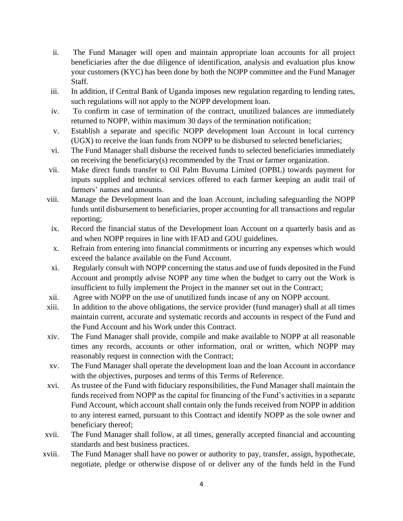- ii. The Fund Manager will open and maintain appropriate loan accounts for all project beneficiaries after the due diligence of identification, analysis and evaluation plus know your customers (KYC) has been done by both the NOPP committee and the Fund Manager Staff.
- iii. In addition, if Central Bank of Uganda imposes new regulation regarding to lending rates, such regulations will not apply to the NOPP development loan.
- iv. To confirm in case of termination of the contract, unutilized balances are immediately returned to NOPP, within maximum 30 days of the termination notification;
- v. Establish a separate and specific NOPP development loan Account in local currency (UGX) to receive the loan funds from NOPP to be disbursed to selected beneficiaries;
- vi. The Fund Manager shall disburse the received funds to selected beneficiaries immediately on receiving the beneficiary(s) recommended by the Trust or farmer organization.
- vii. Make direct funds transfer to Oil Palm Buvuma Limited (OPBL) towards payment for inputs supplied and technical services offered to each farmer keeping an audit trail of farmers' names and amounts.
- viii. Manage the Development loan and the loan Account, including safeguarding the NOPP funds until disbursement to beneficiaries, proper accounting for all transactions and regular reporting;
- ix. Record the financial status of the Development loan Account on a quarterly basis and as and when NOPP requires in line with IFAD and GOU guidelines.
- x. Refrain from entering into financial commitments or incurring any expenses which would exceed the balance available on the Fund Account.
- xi. Regularly consult with NOPP concerning the status and use of funds deposited in the Fund Account and promptly advise NOPP any time when the budget to carry out the Work is insufficient to fully implement the Project in the manner set out in the Contract;
- xii. Agree with NOPP on the use of unutilized funds incase of any on NOPP account.
- xiii. In addition to the above obligations, the service provider (fund manager) shall at all times maintain current, accurate and systematic records and accounts in respect of the Fund and the Fund Account and his Work under this Contract.
- xiv. The Fund Manager shall provide, compile and make available to NOPP at all reasonable times any records, accounts or other information, oral or written, which NOPP may reasonably request in connection with the Contract;
- xv. The Fund Manager shall operate the development loan and the loan Account in accordance with the objectives, purposes and terms of this Terms of Reference.
- xvi. As trustee of the Fund with fiduciary responsibilities, the Fund Manager shall maintain the funds received from NOPP as the capital for financing of the Fund's activities in a separate Fund Account, which account shall contain only the funds received from NOPP in addition to any interest earned, pursuant to this Contract and identify NOPP as the sole owner and beneficiary thereof;
- xvii. The Fund Manager shall follow, at all times, generally accepted financial and accounting standards and best business practices.
- xviii. The Fund Manager shall have no power or authority to pay, transfer, assign, hypothecate, negotiate, pledge or otherwise dispose of or deliver any of the funds held in the Fund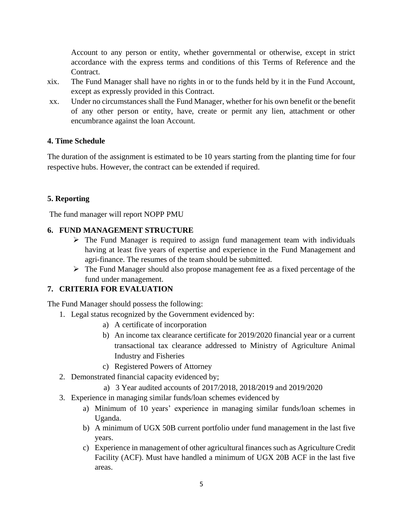Account to any person or entity, whether governmental or otherwise, except in strict accordance with the express terms and conditions of this Terms of Reference and the Contract.

- xix. The Fund Manager shall have no rights in or to the funds held by it in the Fund Account, except as expressly provided in this Contract.
- xx. Under no circumstances shall the Fund Manager, whether for his own benefit or the benefit of any other person or entity, have, create or permit any lien, attachment or other encumbrance against the loan Account.

## **4. Time Schedule**

The duration of the assignment is estimated to be 10 years starting from the planting time for four respective hubs. However, the contract can be extended if required.

## **5. Reporting**

The fund manager will report NOPP PMU

## **6. FUND MANAGEMENT STRUCTURE**

- $\triangleright$  The Fund Manager is required to assign fund management team with individuals having at least five years of expertise and experience in the Fund Management and agri-finance. The resumes of the team should be submitted.
- $\triangleright$  The Fund Manager should also propose management fee as a fixed percentage of the fund under management.

# **7. CRITERIA FOR EVALUATION**

The Fund Manager should possess the following:

- 1. Legal status recognized by the Government evidenced by:
	- a) A certificate of incorporation
	- b) An income tax clearance certificate for 2019/2020 financial year or a current transactional tax clearance addressed to Ministry of Agriculture Animal Industry and Fisheries
	- c) Registered Powers of Attorney
- 2. Demonstrated financial capacity evidenced by;
	- a) 3 Year audited accounts of 2017/2018, 2018/2019 and 2019/2020
- 3. Experience in managing similar funds/loan schemes evidenced by
	- a) Minimum of 10 years' experience in managing similar funds/loan schemes in Uganda.
	- b) A minimum of UGX 50B current portfolio under fund management in the last five years.
	- c) Experience in management of other agricultural finances such as Agriculture Credit Facility (ACF). Must have handled a minimum of UGX 20B ACF in the last five areas.